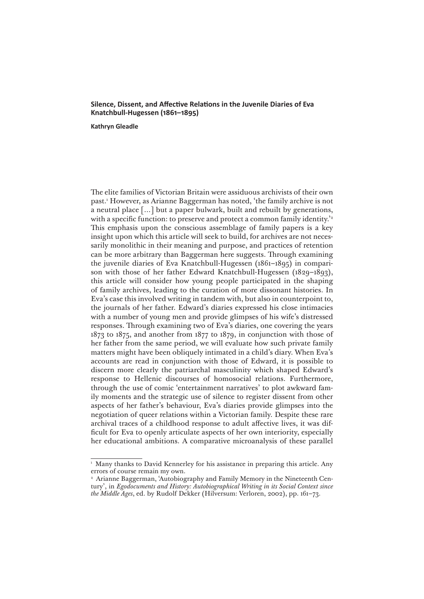## **Silence, Dissent, and Affective Relations in the Juvenile Diaries of Eva Knatchbull-Hugessen (1861–1895)**

**Kathryn Gleadle**

The elite families of Victorian Britain were assiduous archivists of their own past.1 However, as Arianne Baggerman has noted, 'the family archive is not a neutral place […] but a paper bulwark, built and rebuilt by generations, with a specific function: to preserve and protect a common family identity.<sup>22</sup> This emphasis upon the conscious assemblage of family papers is a key insight upon which this article will seek to build, for archives are not necessarily monolithic in their meaning and purpose, and practices of retention can be more arbitrary than Baggerman here suggests. Through examining the juvenile diaries of Eva Knatchbull-Hugessen (1861–1895) in comparison with those of her father Edward Knatchbull-Hugessen (1829–1893), this article will consider how young people participated in the shaping of family archives, leading to the curation of more dissonant histories. In Eva's case this involved writing in tandem with, but also in counterpoint to, the journals of her father. Edward's diaries expressed his close intimacies with a number of young men and provide glimpses of his wife's distressed responses. Through examining two of Eva's diaries, one covering the years 1873 to 1875, and another from 1877 to 1879, in conjunction with those of her father from the same period, we will evaluate how such private family matters might have been obliquely intimated in a child's diary. When Eva's accounts are read in conjunction with those of Edward, it is possible to discern more clearly the patriarchal masculinity which shaped Edward's response to Hellenic discourses of homosocial relations. Furthermore, through the use of comic 'entertainment narratives' to plot awkward family moments and the strategic use of silence to register dissent from other aspects of her father's behaviour, Eva's diaries provide glimpses into the negotiation of queer relations within a Victorian family. Despite these rare archival traces of a childhood response to adult affective lives, it was difficult for Eva to openly articulate aspects of her own interiority, especially her educational ambitions. A comparative microanalysis of these parallel

<sup>&</sup>lt;sup>1</sup> Many thanks to David Kennerley for his assistance in preparing this article. Any errors of course remain my own.

<sup>&</sup>lt;sup>2</sup> Arianne Baggerman, 'Autobiography and Family Memory in the Nineteenth Century', in *Egodocuments and History: Autobiographical Writing in its Social Context since the Middle Ages*, ed. by Rudolf Dekker (Hilversum: Verloren, 2002), pp. 161–73.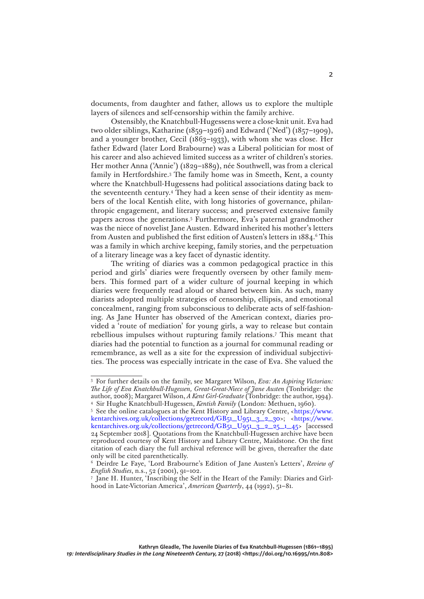documents, from daughter and father, allows us to explore the multiple layers of silences and self-censorship within the family archive.

Ostensibly, the Knatchbull-Hugessens were a close-knit unit. Eva had two older siblings, Katharine (1859–1926) and Edward ('Ned') (1857–1909), and a younger brother, Cecil (1863–1933), with whom she was close. Her father Edward (later Lord Brabourne) was a Liberal politician for most of his career and also achieved limited success as a writer of children's stories. Her mother Anna ('Annie') (1829–1889), née Southwell, was from a clerical family in Hertfordshire.3 The family home was in Smeeth, Kent, a county where the Knatchbull-Hugessens had political associations dating back to the seventeenth century.4 They had a keen sense of their identity as members of the local Kentish elite, with long histories of governance, philanthropic engagement, and literary success; and preserved extensive family papers across the generations.5 Furthermore, Eva's paternal grandmother was the niece of novelist Jane Austen. Edward inherited his mother's letters from Austen and published the first edition of Austen's letters in 1884.<sup>6</sup> This was a family in which archive keeping, family stories, and the perpetuation of a literary lineage was a key facet of dynastic identity.

The writing of diaries was a common pedagogical practice in this period and girls' diaries were frequently overseen by other family members. This formed part of a wider culture of journal keeping in which diaries were frequently read aloud or shared between kin. As such, many diarists adopted multiple strategies of censorship, ellipsis, and emotional concealment, ranging from subconscious to deliberate acts of self-fashioning. As Jane Hunter has observed of the American context, diaries provided a 'route of mediation' for young girls, a way to release but contain rebellious impulses without rupturing family relations.7 This meant that diaries had the potential to function as a journal for communal reading or remembrance, as well as a site for the expression of individual subjectivities. The process was especially intricate in the case of Eva. She valued the

<sup>3</sup> For further details on the family, see Margaret Wilson, *Eva: An Aspiring Victorian: The Life of Eva Knatchbull-Hugessen, Great-Great-Niece of Jane Austen* (Tonbridge: the author, 2008); Margaret Wilson, *A Kent Girl-Graduate* (Tonbridge: the author, 1994). <sup>4</sup> Sir Hughe Knatchbull-Hugessen, *Kentish Family* (London: Methuen, 1960).

<sup>5</sup> See the online catalogues at the Kent History and Library Centre, [<https://www.](https://www.kentarchives.org.uk/collections/getrecord/GB51_U951_3_2_30) [kentarchives.org.uk/collections/getrecord/GB51\\_U951\\_3\\_2\\_30](https://www.kentarchives.org.uk/collections/getrecord/GB51_U951_3_2_30)>; [<https://www.](https://www.kentarchives.org.uk/collections/getrecord/GB51_U951_3_2_25_1_45) [kentarchives.org.uk/collections/getrecord/GB51\\_U951\\_3\\_2\\_25\\_1\\_45](https://www.kentarchives.org.uk/collections/getrecord/GB51_U951_3_2_25_1_45)> [accessed 24 September 2018]. Quotations from the Knatchbull-Hugessen archive have been reproduced courtesy of Kent History and Library Centre, Maidstone. On the first citation of each diary the full archival reference will be given, thereafter the date only will be cited parenthetically.

<sup>6</sup> Deirdre Le Faye, 'Lord Brabourne's Edition of Jane Austen's Letters', *Review of English Studies*, n.s., 52 (2001), 91–102.

<sup>7</sup> Jane H. Hunter, 'Inscribing the Self in the Heart of the Family: Diaries and Girlhood in Late-Victorian America', *American Quarterly*, 44 (1992), 51–81.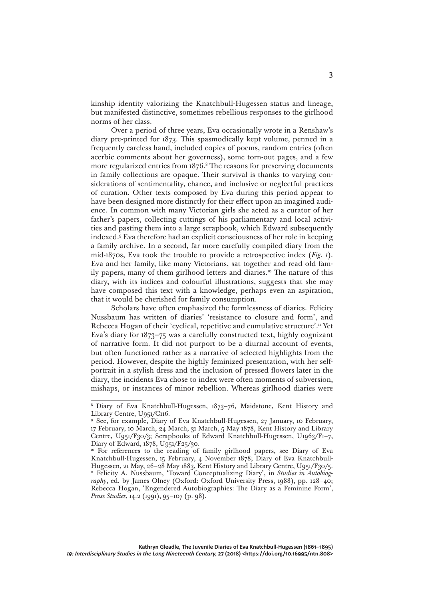kinship identity valorizing the Knatchbull-Hugessen status and lineage, but manifested distinctive, sometimes rebellious responses to the girlhood norms of her class.

Over a period of three years, Eva occasionally wrote in a Renshaw's diary pre-printed for 1873. This spasmodically kept volume, penned in a frequently careless hand, included copies of poems, random entries (often acerbic comments about her governess), some torn-out pages, and a few more regularized entries from 1876.<sup>8</sup> The reasons for preserving documents in family collections are opaque. Their survival is thanks to varying considerations of sentimentality, chance, and inclusive or neglectful practices of curation. Other texts composed by Eva during this period appear to have been designed more distinctly for their effect upon an imagined audience. In common with many Victorian girls she acted as a curator of her father's papers, collecting cuttings of his parliamentary and local activities and pasting them into a large scrapbook, which Edward subsequently indexed.9 Eva therefore had an explicit consciousness of her role in keeping a family archive. In a second, far more carefully compiled diary from the mid-1870s, Eva took the trouble to provide a retrospective index (*Fig. 1*). Eva and her family, like many Victorians, sat together and read old family papers, many of them girlhood letters and diaries.<sup>10</sup> The nature of this diary, with its indices and colourful illustrations, suggests that she may have composed this text with a knowledge, perhaps even an aspiration, that it would be cherished for family consumption.

Scholars have often emphasized the formlessness of diaries. Felicity Nussbaum has written of diaries' 'resistance to closure and form', and Rebecca Hogan of their 'cyclical, repetitive and cumulative structure'.<sup>11</sup> Yet Eva's diary for 1873–75 was a carefully constructed text, highly cognizant of narrative form. It did not purport to be a diurnal account of events, but often functioned rather as a narrative of selected highlights from the period. However, despite the highly feminized presentation, with her selfportrait in a stylish dress and the inclusion of pressed flowers later in the diary, the incidents Eva chose to index were often moments of subversion, mishaps, or instances of minor rebellion. Whereas girlhood diaries were

<sup>8</sup> Diary of Eva Knatchbull-Hugessen, 1873–76, Maidstone, Kent History and Library Centre, U951/C116.

<sup>9</sup> See, for example, Diary of Eva Knatchbull-Hugessen, 27 January, 10 February, 17 February, 10 March, 24 March, 31 March, 5 May 1878, Kent History and Library Centre, U951/F30/3; Scrapbooks of Edward Knatchbull-Hugessen, U1963/F1–7, Diary of Edward, 1878, U951/F25/30.

<sup>&</sup>lt;sup>10</sup> For references to the reading of family girlhood papers, see Diary of Eva Knatchbull-Hugessen, 15 February, 4 November 1878; Diary of Eva Knatchbull-Hugessen, 21 May, 26–28 May 1883, Kent History and Library Centre, U951/F30/5. <sup>11</sup> Felicity A. Nussbaum, 'Toward Conceptualizing Diary', in *Studies in Autobiography*, ed. by James Olney (Oxford: Oxford University Press, 1988), pp. 128–40; Rebecca Hogan, 'Engendered Autobiographies: The Diary as a Feminine Form', *Prose Studies*, 14.2 (1991), 95–107 (p. 98).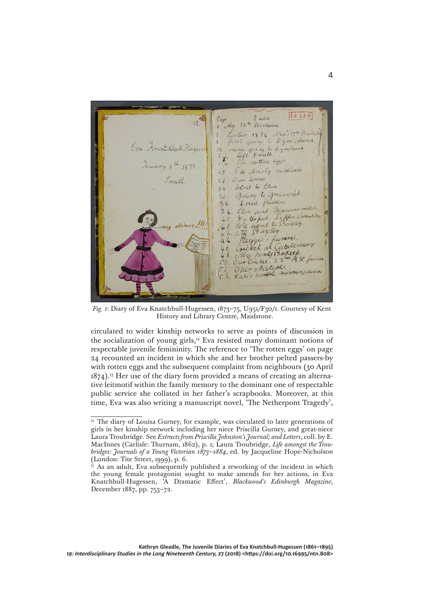$\overline{UNDEX}$ I notes  $12<sup>th</sup>$ My Birthday Ned's 14th Birth  $18$ first going Dym church Eva Anatchbull  $\overline{b}$ ring  $q_1$ *S meeth* Left notten eggs She christy ministrale Ce un Cessens. meeth Visit to Eton  $28$ Asing to greenwich  $30<sup>°</sup>$ I ried flowers. Eton and Harrow match. Clon and Teams<br>In the fast : Tepper Guissant true<br>We event to Sposcley.<br>At Sporcley.  $\frac{4}{4}$ Peggie's funeral. Cricket at Carterbury Cricket at Coloniera<br>My honey Bapeep. Our Cricket. n. 3 Oher Natcher Oher Matches.<br>Kate's honese running awam

*Fig. 1*: Diary of Eva Knatchbull-Hugessen, 1873–75, U951/F30/1. Courtesy of Kent History and Library Centre, Maidstone.

circulated to wider kinship networks to serve as points of discussion in the socialization of young girls,<sup>12</sup> Eva resisted many dominant notions of respectable juvenile femininity. The reference to 'The rotten eggs' on page 24 recounted an incident in which she and her brother pelted passers-by with rotten eggs and the subsequent complaint from neighbours (30 April 1874).13 Her use of the diary form provided a means of creating an alternative leitmotif within the family memory to the dominant one of respectable public service she collated in her father's scrapbooks. Moreover, at this time, Eva was also writing a manuscript novel, 'The Netherpont Tragedy',

<sup>&</sup>lt;sup>12</sup> The diary of Louisa Gurney, for example, was circulated to later generations of girls in her kinship network including her niece Priscilla Gurney, and great-niece Laura Troubridge. See *Extracts from Priscilla Johnston's Journal; and Letters*, coll. by E. MacInnes (Carlisle: Thurnam, 1862), p. 1; Laura Troubridge, *Life amongst the Troubridges: Journals of a Young Victorian 1873–1884*, ed. by Jacqueline Hope-Nicholson (London: Tite Street, 1999), p. 6.

 $13$  As an adult, Eva subsequently published a reworking of the incident in which the young female protagonist sought to make amends for her actions, in Eva Knatchbull-Hugessen, 'A Dramatic Effect', *Blackwood's Edinburgh Magazine*, December 1887, pp. 753–72.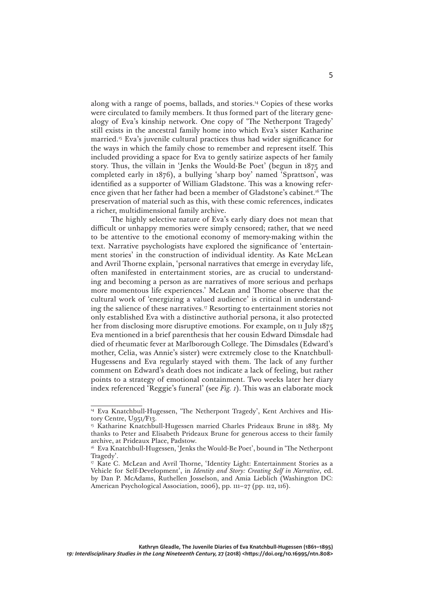along with a range of poems, ballads, and stories.14 Copies of these works were circulated to family members. It thus formed part of the literary genealogy of Eva's kinship network. One copy of 'The Netherpont Tragedy' still exists in the ancestral family home into which Eva's sister Katharine married.15 Eva's juvenile cultural practices thus had wider significance for the ways in which the family chose to remember and represent itself. This included providing a space for Eva to gently satirize aspects of her family story. Thus, the villain in 'Jenks the Would-Be Poet' (begun in 1875 and completed early in 1876), a bullying 'sharp boy' named 'Sprattson', was identified as a supporter of William Gladstone. This was a knowing reference given that her father had been a member of Gladstone's cabinet.16 The preservation of material such as this, with these comic references, indicates a richer, multidimensional family archive.

The highly selective nature of Eva's early diary does not mean that difficult or unhappy memories were simply censored; rather, that we need to be attentive to the emotional economy of memory-making within the text. Narrative psychologists have explored the significance of 'entertainment stories' in the construction of individual identity. As Kate McLean and Avril Thorne explain, 'personal narratives that emerge in everyday life, often manifested in entertainment stories, are as crucial to understanding and becoming a person as are narratives of more serious and perhaps more momentous life experiences.' McLean and Thorne observe that the cultural work of 'energizing a valued audience' is critical in understanding the salience of these narratives.17 Resorting to entertainment stories not only established Eva with a distinctive authorial persona, it also protected her from disclosing more disruptive emotions. For example, on 11 July 1875 Eva mentioned in a brief parenthesis that her cousin Edward Dimsdale had died of rheumatic fever at Marlborough College. The Dimsdales (Edward's mother, Celia, was Annie's sister) were extremely close to the Knatchbull-Hugessens and Eva regularly stayed with them. The lack of any further comment on Edward's death does not indicate a lack of feeling, but rather points to a strategy of emotional containment. Two weeks later her diary index referenced 'Reggie's funeral' (see *Fig. 1*). This was an elaborate mock

<sup>&</sup>lt;sup>14</sup> Eva Knatchbull-Hugessen, 'The Netherpont Tragedy', Kent Archives and History Centre, U951/F13.

<sup>&</sup>lt;sup>15</sup> Katharine Knatchbull-Hugessen married Charles Prideaux Brune in 1883. My thanks to Peter and Elisabeth Prideaux Brune for generous access to their family archive, at Prideaux Place, Padstow.

<sup>16</sup> Eva Knatchbull-Hugessen, 'Jenks the Would-Be Poet', bound in 'The Netherpont Tragedy'.

<sup>&</sup>lt;sup>17</sup> Kate C. McLean and Avril Thorne, 'Identity Light: Entertainment Stories as a Vehicle for Self-Development', in *Identity and Story: Creating Self in Narrative*, ed. by Dan P. McAdams, Ruthellen Josselson, and Amia Lieblich (Washington DC: American Psychological Association, 2006), pp. 111–27 (pp. 112, 116).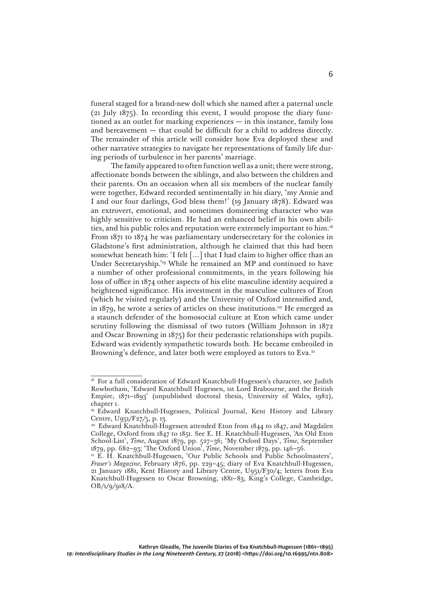funeral staged for a brand-new doll which she named after a paternal uncle (21 July 1875). In recording this event, I would propose the diary functioned as an outlet for marking experiences — in this instance, family loss and bereavement — that could be difficult for a child to address directly. The remainder of this article will consider how Eva deployed these and other narrative strategies to navigate her representations of family life during periods of turbulence in her parents' marriage.

The family appeared to often function well as a unit; there were strong, affectionate bonds between the siblings, and also between the children and their parents. On an occasion when all six members of the nuclear family were together, Edward recorded sentimentally in his diary, 'my Annie and I and our four darlings, God bless them!' (19 January 1878). Edward was an extrovert, emotional, and sometimes domineering character who was highly sensitive to criticism. He had an enhanced belief in his own abilities, and his public roles and reputation were extremely important to him.18 From 1871 to 1874 he was parliamentary undersecretary for the colonies in Gladstone's first administration, although he claimed that this had been somewhat beneath him: 'I felt […] that I had claim to higher office than an Under Secretaryship.<sup>'19</sup> While he remained an MP and continued to have a number of other professional commitments, in the years following his loss of office in 1874 other aspects of his elite masculine identity acquired a heightened significance. His investment in the masculine cultures of Eton (which he visited regularly) and the University of Oxford intensified and, in 1879, he wrote a series of articles on these institutions.20 He emerged as a staunch defender of the homosocial culture at Eton which came under scrutiny following the dismissal of two tutors (William Johnson in 1872 and Oscar Browning in 1875) for their pederastic relationships with pupils. Edward was evidently sympathetic towards both. He became embroiled in Browning's defence, and later both were employed as tutors to Eva.<sup>21</sup>

<sup>&</sup>lt;sup>18</sup> For a full consideration of Edward Knatchbull-Hugessen's character, see Judith Rowbotham, 'Edward Knatchbull Hugessen, 1st Lord Brabourne, and the British Empire, 1871–1893' (unpublished doctoral thesis, University of Wales, 1982), chapter 1.

<sup>19</sup> Edward Knatchbull-Hugessen, Political Journal, Kent History and Library Centre, U951/F27/5, p. 13.

<sup>&</sup>lt;sup>20</sup> Edward Knatchbull-Hugessen attended Eton from 1844 to 1847, and Magdalen College, Oxford from 1847 to 1851. See E. H. Knatchbull-Hugessen, 'An Old Eton School-List', *Time*, August 1879, pp. 527–36; 'My Oxford Days', *Time*, September 1879, pp. 682–93; 'The Oxford Union', *Time*, November 1879, pp. 146–56.

<sup>21</sup> E. H. Knatchbull-Hugessen, 'Our Public Schools and Public Schoolmasters', *Fraser's Magazine*, February 1876, pp. 229–45; diary of Eva Knatchbull-Hugessen, 21 January 1881, Kent History and Library Centre, U951/F30/4; letters from Eva Knatchbull-Hugessen to Oscar Browning, 1881–83, King's College, Cambridge, OB/1/9/918/A.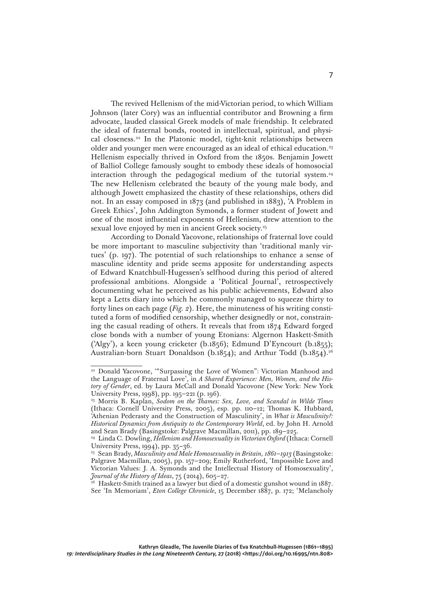The revived Hellenism of the mid-Victorian period, to which William Johnson (later Cory) was an influential contributor and Browning a firm advocate, lauded classical Greek models of male friendship. It celebrated the ideal of fraternal bonds, rooted in intellectual, spiritual, and physical closeness.<sup>22</sup> In the Platonic model, tight-knit relationships between older and younger men were encouraged as an ideal of ethical education.<sup>23</sup> Hellenism especially thrived in Oxford from the 1850s. Benjamin Jowett of Balliol College famously sought to embody these ideals of homosocial interaction through the pedagogical medium of the tutorial system.24 The new Hellenism celebrated the beauty of the young male body, and although Jowett emphasized the chastity of these relationships, others did not. In an essay composed in 1873 (and published in 1883), 'A Problem in Greek Ethics', John Addington Symonds, a former student of Jowett and one of the most influential exponents of Hellenism, drew attention to the sexual love enjoyed by men in ancient Greek society.<sup>25</sup>

According to Donald Yacovone, relationships of fraternal love could be more important to masculine subjectivity than 'traditional manly virtues' (p. 197). The potential of such relationships to enhance a sense of masculine identity and pride seems apposite for understanding aspects of Edward Knatchbull-Hugessen's selfhood during this period of altered professional ambitions. Alongside a 'Political Journal', retrospectively documenting what he perceived as his public achievements, Edward also kept a Letts diary into which he commonly managed to squeeze thirty to forty lines on each page (*Fig. 2*). Here, the minuteness of his writing constituted a form of modified censorship, whether designedly or not, constraining the casual reading of others. It reveals that from 1874 Edward forged close bonds with a number of young Etonians: Algernon Haskett-Smith ('Algy'), a keen young cricketer (b.1856); Edmund D'Eyncourt (b.1855); Australian-born Stuart Donaldson (b.1854); and Arthur Todd (b.1854).<sup>26</sup>

<sup>&</sup>lt;sup>22</sup> Donald Yacovone, "Surpassing the Love of Women": Victorian Manhood and the Language of Fraternal Love', in *A Shared Experience: Men, Women, and the History of Gender*, ed. by Laura McCall and Donald Yacovone (New York: New York University Press, 1998), pp. 195–221 (p. 196).

<sup>23</sup> Morris B. Kaplan, *Sodom on the Thames: Sex, Love, and Scandal in Wilde Times*  (Ithaca: Cornell University Press, 2005), esp. pp. 110–12; Thomas K. Hubbard, 'Athenian Pederasty and the Construction of Masculinity', in *What is Masculinity?: Historical Dynamics from Antiquity to the Contemporary World*, ed. by John H. Arnold and Sean Brady (Basingstoke: Palgrave Macmillan, 2011), pp. 189–225.

<sup>&</sup>lt;sup>24</sup> Linda C. Dowling, *Hellenism and Homosexuality in Victorian Oxford* (Ithaca: Cornell University Press, 1994), pp. 35–36.

<sup>25</sup> Sean Brady, *Masculinity and Male Homosexuality in Britain, 1861–1913* (Basingstoke: Palgrave Macmillan, 2005), pp. 157–209; Emily Rutherford, 'Impossible Love and Victorian Values: J. A. Symonds and the Intellectual History of Homosexuality', *Journal of the History of Ideas*, 75 (2014), 605–27.

<sup>&</sup>lt;sup>26</sup> Haskett-Smith trained as a lawyer but died of a domestic gunshot wound in 1887. See 'In Memoriam', *Eton College Chronicle*, 15 December 1887, p. 172; 'Melancholy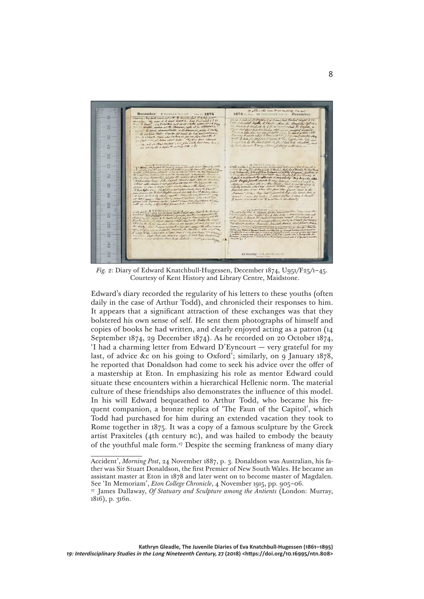

*Fig. 2*: Diary of Edward Knatchbull-Hugessen, December 1874, U951/F25/1–45. Courtesy of Kent History and Library Centre, Maidstone.

Edward's diary recorded the regularity of his letters to these youths (often daily in the case of Arthur Todd), and chronicled their responses to him. It appears that a significant attraction of these exchanges was that they bolstered his own sense of self. He sent them photographs of himself and copies of books he had written, and clearly enjoyed acting as a patron (14 September 1874, 29 December 1874). As he recorded on 20 October 1874, 'I had a charming letter from Edward D'Eyncourt — very grateful for my last, of advice &c on his going to Oxford'; similarly, on 9 January 1878, he reported that Donaldson had come to seek his advice over the offer of a mastership at Eton. In emphasizing his role as mentor Edward could situate these encounters within a hierarchical Hellenic norm. The material culture of these friendships also demonstrates the influence of this model. In his will Edward bequeathed to Arthur Todd, who became his frequent companion, a bronze replica of 'The Faun of the Capitol', which Todd had purchased for him during an extended vacation they took to Rome together in 1875. It was a copy of a famous sculpture by the Greek artist Praxiteles (4th century bc), and was hailed to embody the beauty of the youthful male form.27 Despite the seeming frankness of many diary

Accident', *Morning Post*, 24 November 1887, p. 3. Donaldson was Australian, his father was Sir Stuart Donaldson, the first Premier of New South Wales. He became an assistant master at Eton in 1878 and later went on to become master of Magdalen*.*  See 'In Memoriam', *Eton College Chronicle*, 4 November 1915, pp. 905–06.

<sup>27</sup> James Dallaway, *Of Statuary and Sculpture among the Antients* (London: Murray, 1816), p. 316n.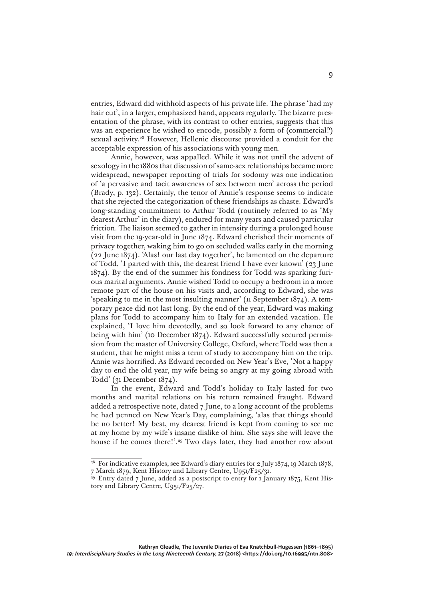entries, Edward did withhold aspects of his private life. The phrase 'had my hair cut', in a larger, emphasized hand, appears regularly. The bizarre presentation of the phrase, with its contrast to other entries, suggests that this was an experience he wished to encode, possibly a form of (commercial?) sexual activity.<sup>28</sup> However, Hellenic discourse provided a conduit for the acceptable expression of his associations with young men.

Annie, however, was appalled. While it was not until the advent of sexology in the 1880s that discussion of same-sex relationships became more widespread, newspaper reporting of trials for sodomy was one indication of 'a pervasive and tacit awareness of sex between men' across the period (Brady, p. 132). Certainly, the tenor of Annie's response seems to indicate that she rejected the categorization of these friendships as chaste. Edward's long-standing commitment to Arthur Todd (routinely referred to as 'My dearest Arthur' in the diary), endured for many years and caused particular friction. The liaison seemed to gather in intensity during a prolonged house visit from the 19-year-old in June 1874. Edward cherished their moments of privacy together, waking him to go on secluded walks early in the morning (22 June 1874). 'Alas! our last day together', he lamented on the departure of Todd, 'I parted with this, the dearest friend I have ever known' (23 June 1874). By the end of the summer his fondness for Todd was sparking furious marital arguments. Annie wished Todd to occupy a bedroom in a more remote part of the house on his visits and, according to Edward, she was 'speaking to me in the most insulting manner' (11 September 1874). A temporary peace did not last long. By the end of the year, Edward was making plans for Todd to accompany him to Italy for an extended vacation. He explained, 'I love him devotedly, and so look forward to any chance of being with him' (10 December 1874). Edward successfully secured permission from the master of University College, Oxford, where Todd was then a student, that he might miss a term of study to accompany him on the trip. Annie was horrified. As Edward recorded on New Year's Eve, 'Not a happy day to end the old year, my wife being so angry at my going abroad with Todd' (31 December 1874).

In the event, Edward and Todd's holiday to Italy lasted for two months and marital relations on his return remained fraught. Edward added a retrospective note, dated 7 June, to a long account of the problems he had penned on New Year's Day, complaining, 'alas that things should be no better! My best, my dearest friend is kept from coming to see me at my home by my wife's insane dislike of him. She says she will leave the house if he comes there!'.<sup>29</sup> Two days later, they had another row about

<sup>&</sup>lt;sup>28</sup> For indicative examples, see Edward's diary entries for 2 July 1874, 19 March 1878,

<sup>7</sup> March 1879, Kent History and Library Centre, U951/F25/31.

 $^{29}$  Entry dated 7 June, added as a postscript to entry for 1 January 1875, Kent History and Library Centre, U951/F25/27.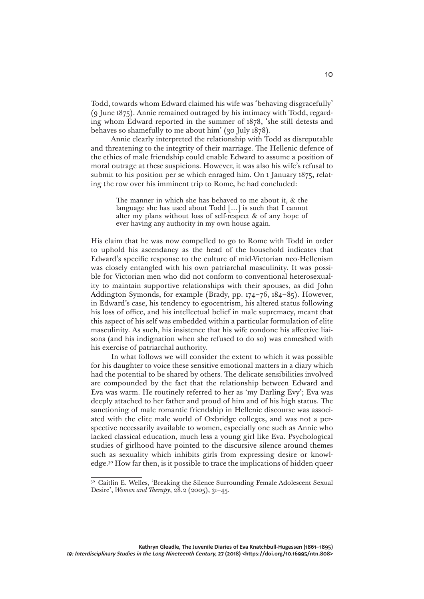Todd, towards whom Edward claimed his wife was 'behaving disgracefully' (9 June 1875). Annie remained outraged by his intimacy with Todd, regarding whom Edward reported in the summer of 1878, 'she still detests and behaves so shamefully to me about him' (30 July 1878).

Annie clearly interpreted the relationship with Todd as disreputable and threatening to the integrity of their marriage. The Hellenic defence of the ethics of male friendship could enable Edward to assume a position of moral outrage at these suspicions. However, it was also his wife's refusal to submit to his position per se which enraged him. On 1 January 1875, relating the row over his imminent trip to Rome, he had concluded:

> The manner in which she has behaved to me about it, & the language she has used about Todd […] is such that I cannot alter my plans without loss of self-respect & of any hope of ever having any authority in my own house again.

His claim that he was now compelled to go to Rome with Todd in order to uphold his ascendancy as the head of the household indicates that Edward's specific response to the culture of mid-Victorian neo-Hellenism was closely entangled with his own patriarchal masculinity. It was possible for Victorian men who did not conform to conventional heterosexuality to maintain supportive relationships with their spouses, as did John Addington Symonds, for example (Brady, pp. 174–76, 184–85). However, in Edward's case, his tendency to egocentrism, his altered status following his loss of office, and his intellectual belief in male supremacy, meant that this aspect of his self was embedded within a particular formulation of elite masculinity. As such, his insistence that his wife condone his affective liaisons (and his indignation when she refused to do so) was enmeshed with his exercise of patriarchal authority.

In what follows we will consider the extent to which it was possible for his daughter to voice these sensitive emotional matters in a diary which had the potential to be shared by others. The delicate sensibilities involved are compounded by the fact that the relationship between Edward and Eva was warm. He routinely referred to her as 'my Darling Evy'; Eva was deeply attached to her father and proud of him and of his high status. The sanctioning of male romantic friendship in Hellenic discourse was associated with the elite male world of Oxbridge colleges, and was not a perspective necessarily available to women, especially one such as Annie who lacked classical education, much less a young girl like Eva. Psychological studies of girlhood have pointed to the discursive silence around themes such as sexuality which inhibits girls from expressing desire or knowledge.30 How far then, is it possible to trace the implications of hidden queer

<sup>&</sup>lt;sup>30</sup> Caitlin E. Welles, 'Breaking the Silence Surrounding Female Adolescent Sexual Desire', *Women and Therapy*, 28.2 (2005), 31–45.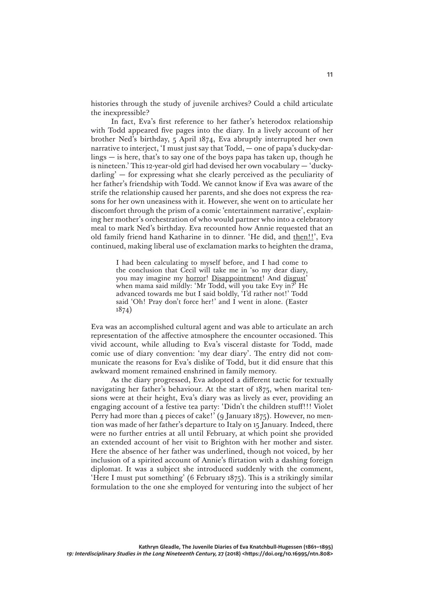histories through the study of juvenile archives? Could a child articulate the inexpressible?

In fact, Eva's first reference to her father's heterodox relationship with Todd appeared five pages into the diary. In a lively account of her brother Ned's birthday, 5 April 1874, Eva abruptly interrupted her own narrative to interject, 'I must just say that Todd, — one of papa's ducky-darlings — is here, that's to say one of the boys papa has taken up, though he is nineteen.' This 12-year-old girl had devised her own vocabulary — 'duckydarling' — for expressing what she clearly perceived as the peculiarity of her father's friendship with Todd. We cannot know if Eva was aware of the strife the relationship caused her parents, and she does not express the reasons for her own uneasiness with it. However, she went on to articulate her discomfort through the prism of a comic 'entertainment narrative', explaining her mother's orchestration of who would partner who into a celebratory meal to mark Ned's birthday. Eva recounted how Annie requested that an old family friend hand Katharine in to dinner. 'He did, and then!!', Eva continued, making liberal use of exclamation marks to heighten the drama,

> I had been calculating to myself before, and I had come to the conclusion that Cecil will take me in 'so my dear diary, you may imagine my horror! Disappointment! And disgust' when mama said mildly: 'Mr Todd, will you take Evy in?' He advanced towards me but I said boldly, 'I'd rather not!' Todd said 'Oh! Pray don't force her!' and I went in alone. (Easter 1874)

Eva was an accomplished cultural agent and was able to articulate an arch representation of the affective atmosphere the encounter occasioned. This vivid account, while alluding to Eva's visceral distaste for Todd, made comic use of diary convention: 'my dear diary'. The entry did not communicate the reasons for Eva's dislike of Todd, but it did ensure that this awkward moment remained enshrined in family memory.

As the diary progressed, Eva adopted a different tactic for textually navigating her father's behaviour. At the start of 1875, when marital tensions were at their height, Eva's diary was as lively as ever, providing an engaging account of a festive tea party: 'Didn't the children stuff!!! Violet Perry had more than 4 pieces of cake!' (9 January 1875). However, no mention was made of her father's departure to Italy on 15 January. Indeed, there were no further entries at all until February, at which point she provided an extended account of her visit to Brighton with her mother and sister. Here the absence of her father was underlined, though not voiced, by her inclusion of a spirited account of Annie's flirtation with a dashing foreign diplomat. It was a subject she introduced suddenly with the comment, 'Here I must put something' (6 February 1875). This is a strikingly similar formulation to the one she employed for venturing into the subject of her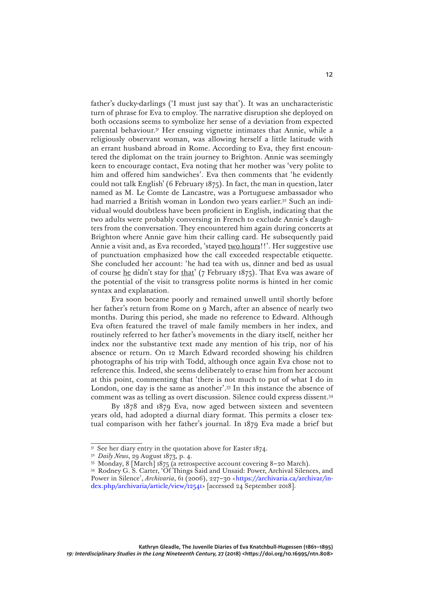father's ducky-darlings ('I must just say that'). It was an uncharacteristic turn of phrase for Eva to employ. The narrative disruption she deployed on both occasions seems to symbolize her sense of a deviation from expected parental behaviour.31 Her ensuing vignette intimates that Annie, while a religiously observant woman, was allowing herself a little latitude with an errant husband abroad in Rome. According to Eva, they first encountered the diplomat on the train journey to Brighton. Annie was seemingly keen to encourage contact, Eva noting that her mother was 'very polite to him and offered him sandwiches'. Eva then comments that 'he evidently could not talk English' (6 February 1875). In fact, the man in question, later named as M. Le Comte de Lancastre, was a Portuguese ambassador who had married a British woman in London two years earlier.32 Such an individual would doubtless have been proficient in English, indicating that the two adults were probably conversing in French to exclude Annie's daughters from the conversation. They encountered him again during concerts at Brighton where Annie gave him their calling card. He subsequently paid Annie a visit and, as Eva recorded, 'stayed two hours!!'. Her suggestive use of punctuation emphasized how the call exceeded respectable etiquette. She concluded her account: 'he had tea with us, dinner and bed as usual of course he didn't stay for that' (7 February 1875). That Eva was aware of the potential of the visit to transgress polite norms is hinted in her comic syntax and explanation.

Eva soon became poorly and remained unwell until shortly before her father's return from Rome on 9 March, after an absence of nearly two months. During this period, she made no reference to Edward. Although Eva often featured the travel of male family members in her index, and routinely referred to her father's movements in the diary itself, neither her index nor the substantive text made any mention of his trip, nor of his absence or return. On 12 March Edward recorded showing his children photographs of his trip with Todd, although once again Eva chose not to reference this. Indeed, she seems deliberately to erase him from her account at this point, commenting that 'there is not much to put of what I do in London, one day is the same as another'.33 In this instance the absence of comment was as telling as overt discussion. Silence could express dissent.34

By 1878 and 1879 Eva, now aged between sixteen and seventeen years old, had adopted a diurnal diary format. This permits a closer textual comparison with her father's journal. In 1879 Eva made a brief but

 $3<sup>1</sup>$  See her diary entry in the quotation above for Easter 1874.

<sup>32</sup> *Daily News*, 29 August 1873, p. 4.

<sup>33</sup> Monday, 8 [March] 1875 (a retrospective account covering 8–20 March).

<sup>34</sup> Rodney G. S. Carter, 'Of Things Said and Unsaid: Power, Archival Silences, and Power in Silence', *Archivaria*, 61 (2006), 227-30 [<https://archivaria.ca/archivar/in](https://archivaria.ca/archivar/index.php/archivaria/article/view/12541)[dex.php/archivaria/article/view/12541>](https://archivaria.ca/archivar/index.php/archivaria/article/view/12541) [accessed 24 September 2018].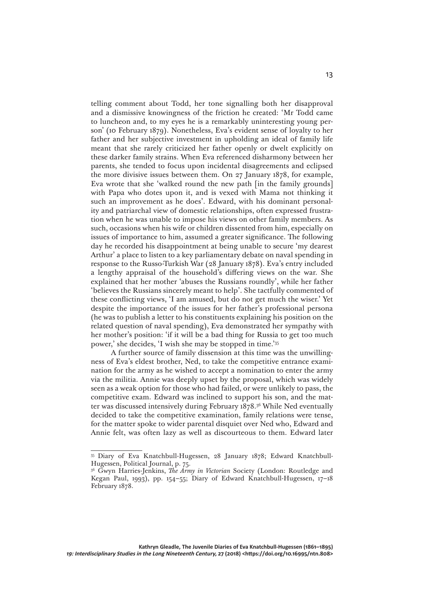telling comment about Todd, her tone signalling both her disapproval and a dismissive knowingness of the friction he created: 'Mr Todd came to luncheon and, to my eyes he is a remarkably uninteresting young person' (10 February 1879). Nonetheless, Eva's evident sense of loyalty to her father and her subjective investment in upholding an ideal of family life meant that she rarely criticized her father openly or dwelt explicitly on these darker family strains. When Eva referenced disharmony between her parents, she tended to focus upon incidental disagreements and eclipsed the more divisive issues between them. On 27 January 1878, for example, Eva wrote that she 'walked round the new path [in the family grounds] with Papa who dotes upon it, and is vexed with Mama not thinking it such an improvement as he does'. Edward, with his dominant personality and patriarchal view of domestic relationships, often expressed frustration when he was unable to impose his views on other family members. As such, occasions when his wife or children dissented from him, especially on issues of importance to him, assumed a greater significance. The following day he recorded his disappointment at being unable to secure 'my dearest Arthur' a place to listen to a key parliamentary debate on naval spending in response to the Russo-Turkish War (28 January 1878). Eva's entry included a lengthy appraisal of the household's differing views on the war. She explained that her mother 'abuses the Russians roundly', while her father 'believes the Russians sincerely meant to help'. She tactfully commented of these conflicting views, 'I am amused, but do not get much the wiser.' Yet despite the importance of the issues for her father's professional persona (he was to publish a letter to his constituents explaining his position on the related question of naval spending), Eva demonstrated her sympathy with her mother's position: 'if it will be a bad thing for Russia to get too much power,' she decides, 'I wish she may be stopped in time.'35

A further source of family dissension at this time was the unwillingness of Eva's eldest brother, Ned, to take the competitive entrance examination for the army as he wished to accept a nomination to enter the army via the militia. Annie was deeply upset by the proposal, which was widely seen as a weak option for those who had failed, or were unlikely to pass, the competitive exam. Edward was inclined to support his son, and the matter was discussed intensively during February 1878.36 While Ned eventually decided to take the competitive examination, family relations were tense, for the matter spoke to wider parental disquiet over Ned who, Edward and Annie felt, was often lazy as well as discourteous to them. Edward later

<sup>35</sup> Diary of Eva Knatchbull-Hugessen, 28 January 1878; Edward Knatchbull-Hugessen, Political Journal, p. 75.

<sup>36</sup> Gwyn Harries-Jenkins, *The Army in Victorian* Society (London: Routledge and Kegan Paul, 1993), pp. 154–55; Diary of Edward Knatchbull-Hugessen, 17–18 February 1878.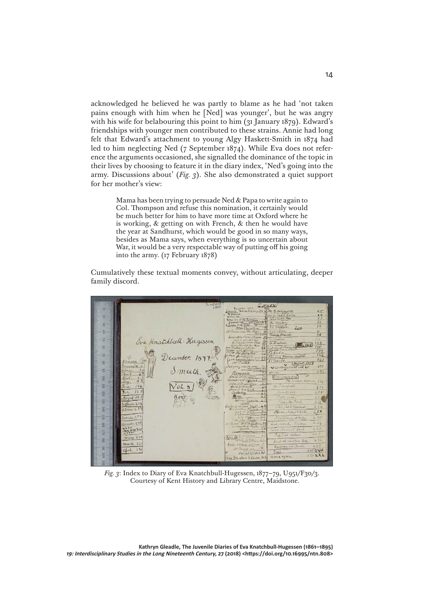acknowledged he believed he was partly to blame as he had 'not taken pains enough with him when he [Ned] was younger', but he was angry with his wife for belabouring this point to him (31 January 1879). Edward's friendships with younger men contributed to these strains. Annie had long felt that Edward's attachment to young Algy Haskett-Smith in 1874 had led to him neglecting Ned (7 September 1874). While Eva does not reference the arguments occasioned, she signalled the dominance of the topic in their lives by choosing to feature it in the diary index, 'Ned's going into the army. Discussions about' (*Fig. 3*). She also demonstrated a quiet support for her mother's view:

> Mama has been trying to persuade Ned & Papa to write again to Col. Thompson and refuse this nomination, it certainly would be much better for him to have more time at Oxford where he is working, & getting on with French, & then he would have the year at Sandhurst, which would be good in so many ways, besides as Mama says, when everything is so uncertain about War, it would be a very respectable way of putting off his going into the army. (17 February 1878)

Cumulatively these textual moments convey, without articulating, deeper family discord.



*Fig. 3*: Index to Diary of Eva Knatchbull-Hugessen, 1877–79, U951/F30/3. Courtesy of Kent History and Library Centre, Maidstone.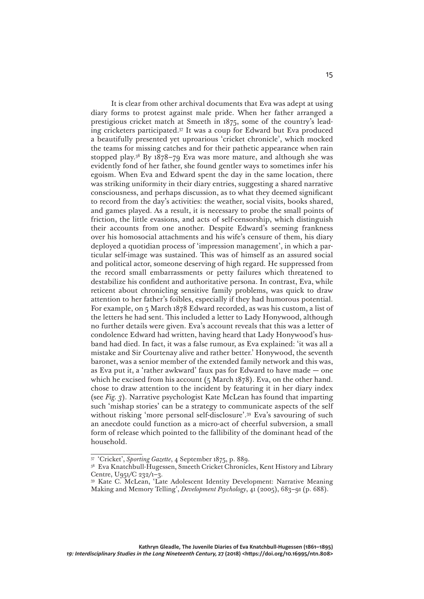It is clear from other archival documents that Eva was adept at using diary forms to protest against male pride. When her father arranged a prestigious cricket match at Smeeth in 1875, some of the country's leading cricketers participated.37 It was a coup for Edward but Eva produced a beautifully presented yet uproarious 'cricket chronicle', which mocked the teams for missing catches and for their pathetic appearance when rain stopped play.38 By 1878–79 Eva was more mature, and although she was evidently fond of her father, she found gentler ways to sometimes infer his egoism. When Eva and Edward spent the day in the same location, there was striking uniformity in their diary entries, suggesting a shared narrative consciousness, and perhaps discussion, as to what they deemed significant to record from the day's activities: the weather, social visits, books shared, and games played. As a result, it is necessary to probe the small points of friction, the little evasions, and acts of self-censorship, which distinguish their accounts from one another. Despite Edward's seeming frankness over his homosocial attachments and his wife's censure of them, his diary deployed a quotidian process of 'impression management', in which a particular self-image was sustained. This was of himself as an assured social and political actor, someone deserving of high regard. He suppressed from the record small embarrassments or petty failures which threatened to destabilize his confident and authoritative persona. In contrast, Eva, while reticent about chronicling sensitive family problems, was quick to draw attention to her father's foibles, especially if they had humorous potential. For example, on 5 March 1878 Edward recorded, as was his custom, a list of the letters he had sent. This included a letter to Lady Honywood, although no further details were given. Eva's account reveals that this was a letter of condolence Edward had written, having heard that Lady Honywood's husband had died. In fact, it was a false rumour, as Eva explained: 'it was all a mistake and Sir Courtenay alive and rather better.' Honywood, the seventh baronet, was a senior member of the extended family network and this was, as Eva put it, a 'rather awkward' faux pas for Edward to have made — one which he excised from his account (5 March 1878). Eva, on the other hand. chose to draw attention to the incident by featuring it in her diary index (see *Fig. 3*). Narrative psychologist Kate McLean has found that imparting such 'mishap stories' can be a strategy to communicate aspects of the self without risking 'more personal self-disclosure'.39 Eva's savouring of such an anecdote could function as a micro-act of cheerful subversion, a small form of release which pointed to the fallibility of the dominant head of the household.

<sup>37</sup> 'Cricket', *Sporting Gazette*, 4 September 1875, p. 889.

<sup>38</sup> Eva Knatchbull-Hugessen, Smeeth Cricket Chronicles, Kent History and Library Centre, U951/C 232/1–3.

<sup>39</sup> Kate C. McLean, 'Late Adolescent Identity Development: Narrative Meaning Making and Memory Telling', *Development Psychology*,  $41$  (2005), 683–91 (p. 688).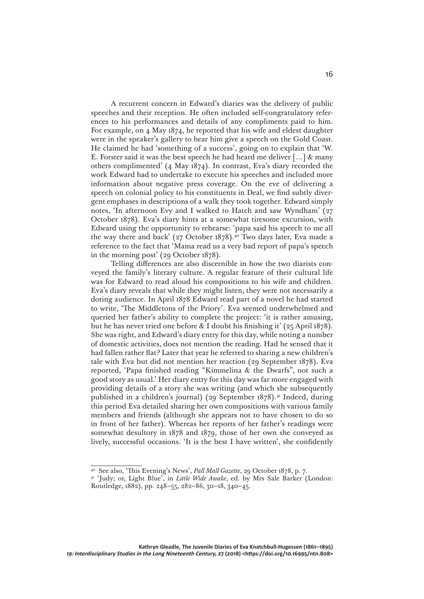A recurrent concern in Edward's diaries was the delivery of public speeches and their reception. He often included self-congratulatory references to his performances and details of any compliments paid to him. For example, on 4 May 1874, he reported that his wife and eldest daughter were in the speaker's gallery to hear him give a speech on the Gold Coast. He claimed he had 'something of a success', going on to explain that 'W. E. Forster said it was the best speech he had heard me deliver  $[\dots]$  & many others complimented' (4 May 1874). In contrast, Eva's diary recorded the work Edward had to undertake to execute his speeches and included more information about negative press coverage. On the eve of delivering a speech on colonial policy to his constituents in Deal, we find subtly divergent emphases in descriptions of a walk they took together. Edward simply notes, 'In afternoon Evy and I walked to Hatch and saw Wyndham' (27 October 1878). Eva's diary hints at a somewhat tiresome excursion, with Edward using the opportunity to rehearse: 'papa said his speech to me all the way there and back' (27 October 1878).<sup>40</sup> Two days later, Eva made a reference to the fact that 'Mama read us a very bad report of papa's speech in the morning post' (29 October 1878).

Telling differences are also discernible in how the two diarists conveyed the family's literary culture. A regular feature of their cultural life was for Edward to read aloud his compositions to his wife and children. Eva's diary reveals that while they might listen, they were not necessarily a doting audience. In April 1878 Edward read part of a novel he had started to write, 'The Middletons of the Priory'. Eva seemed underwhelmed and queried her father's ability to complete the project: 'it is rather amusing, but he has never tried one before & I doubt his finishing it' (25 April 1878). She was right, and Edward's diary entry for this day, while noting a number of domestic activities, does not mention the reading. Had he sensed that it had fallen rather flat? Later that year he referred to sharing a new children's tale with Eva but did not mention her reaction (29 September 1878). Eva reported, 'Papa finished reading "Kimmelina & the Dwarfs", not such a good story as usual.' Her diary entry for this day was far more engaged with providing details of a story she was writing (and which she subsequently published in a children's journal) (29 September 1878).41 Indeed, during this period Eva detailed sharing her own compositions with various family members and friends (although she appears not to have chosen to do so in front of her father). Whereas her reports of her father's readings were somewhat desultory in 1878 and 1879, those of her own she conveyed as lively, successful occasions. 'It is the best I have written', she confidently

<sup>40</sup> See also, 'This Evening's News', *Pall Mall Gazette*, 29 October 1878, p. 7.

<sup>&</sup>lt;sup>41</sup> 'Judy; or, Light Blue', in *Little Wide Awake*, ed. by Mrs Sale Barker (London: Routledge, 1882), pp. 248–55, 282–86, 311–18, 340–45.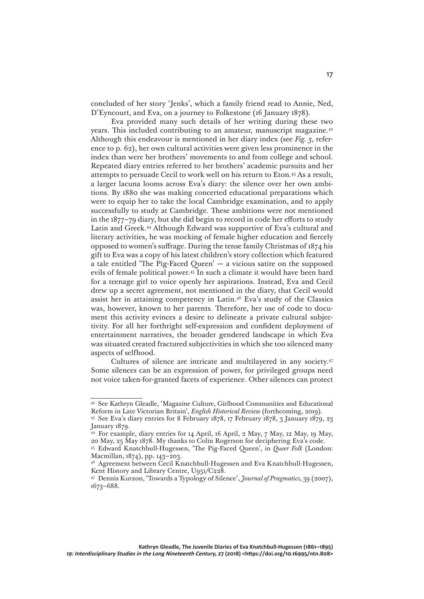concluded of her story 'Jenks', which a family friend read to Annie, Ned, D'Eyncourt, and Eva, on a journey to Folkestone (16 January 1878).

Eva provided many such details of her writing during these two years. This included contributing to an amateur, manuscript magazine.<sup>42</sup> Although this endeavour is mentioned in her diary index (see *Fig. 3*, reference to p. 62), her own cultural activities were given less prominence in the index than were her brothers' movements to and from college and school. Repeated diary entries referred to her brothers' academic pursuits and her attempts to persuade Cecil to work well on his return to Eton.43 As a result, a larger lacuna looms across Eva's diary: the silence over her own ambitions. By 1880 she was making concerted educational preparations which were to equip her to take the local Cambridge examination, and to apply successfully to study at Cambridge. These ambitions were not mentioned in the 1877–79 diary, but she did begin to record in code her efforts to study Latin and Greek.44 Although Edward was supportive of Eva's cultural and literary activities, he was mocking of female higher education and fiercely opposed to women's suffrage. During the tense family Christmas of 1874 his gift to Eva was a copy of his latest children's story collection which featured a tale entitled 'The Pig-Faced Queen'  $-$  a vicious satire on the supposed evils of female political power.45 In such a climate it would have been hard for a teenage girl to voice openly her aspirations. Instead, Eva and Cecil drew up a secret agreement, not mentioned in the diary, that Cecil would assist her in attaining competency in Latin.46 Eva's study of the Classics was, however, known to her parents. Therefore, her use of code to document this activity evinces a desire to delineate a private cultural subjectivity. For all her forthright self-expression and confident deployment of entertainment narratives, the broader gendered landscape in which Eva was situated created fractured subjectivities in which she too silenced many aspects of selfhood.

Cultures of silence are intricate and multilayered in any society.47 Some silences can be an expression of power, for privileged groups need not voice taken-for-granted facets of experience. Other silences can protect

<sup>42</sup> See Kathryn Gleadle, 'Magazine Culture, Girlhood Communities and Educational Reform in Late Victorian Britain', *English Historical Review* (forthcoming, 2019).

<sup>43</sup> See Eva's diary entries for 8 February 1878, 17 February 1878, 3 January 1879, 23 January 1879.

<sup>44</sup> For example, diary entries for 14 April, 16 April, 2 May, 7 May, 12 May, 19 May, 20 May, 25 May 1878. My thanks to Colin Rogerson for deciphering Eva's code.

<sup>45</sup> Edward Knatchbull-Hugessen, 'The Pig-Faced Queen', in *Queer Folk* (London: Macmillan, 1874), pp. 143–203.

<sup>&</sup>lt;sup>46</sup> Agreement between Cecil Knatchbull-Hugessen and Eva Knatchbull-Hugessen, Kent History and Library Centre, U951/C228.

<sup>47</sup> Dennis Kurzon, 'Towards a Typology of Silence', *Journal of Pragmatics*, 39 (2007), 1673–688.